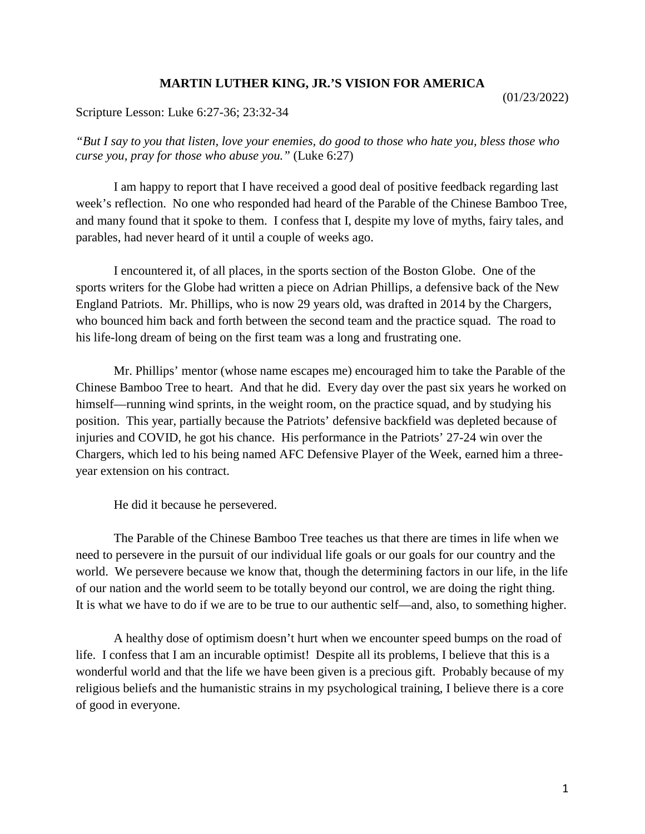## **MARTIN LUTHER KING, JR.'S VISION FOR AMERICA**

(01/23/2022)

Scripture Lesson: Luke 6:27-36; 23:32-34

*"But I say to you that listen, love your enemies, do good to those who hate you, bless those who curse you, pray for those who abuse you."* (Luke 6:27)

I am happy to report that I have received a good deal of positive feedback regarding last week's reflection. No one who responded had heard of the Parable of the Chinese Bamboo Tree, and many found that it spoke to them. I confess that I, despite my love of myths, fairy tales, and parables, had never heard of it until a couple of weeks ago.

I encountered it, of all places, in the sports section of the Boston Globe. One of the sports writers for the Globe had written a piece on Adrian Phillips, a defensive back of the New England Patriots. Mr. Phillips, who is now 29 years old, was drafted in 2014 by the Chargers, who bounced him back and forth between the second team and the practice squad. The road to his life-long dream of being on the first team was a long and frustrating one.

Mr. Phillips' mentor (whose name escapes me) encouraged him to take the Parable of the Chinese Bamboo Tree to heart. And that he did. Every day over the past six years he worked on himself—running wind sprints, in the weight room, on the practice squad, and by studying his position. This year, partially because the Patriots' defensive backfield was depleted because of injuries and COVID, he got his chance. His performance in the Patriots' 27-24 win over the Chargers, which led to his being named AFC Defensive Player of the Week, earned him a threeyear extension on his contract.

He did it because he persevered.

The Parable of the Chinese Bamboo Tree teaches us that there are times in life when we need to persevere in the pursuit of our individual life goals or our goals for our country and the world. We persevere because we know that, though the determining factors in our life, in the life of our nation and the world seem to be totally beyond our control, we are doing the right thing. It is what we have to do if we are to be true to our authentic self—and, also, to something higher.

A healthy dose of optimism doesn't hurt when we encounter speed bumps on the road of life. I confess that I am an incurable optimist! Despite all its problems, I believe that this is a wonderful world and that the life we have been given is a precious gift. Probably because of my religious beliefs and the humanistic strains in my psychological training, I believe there is a core of good in everyone.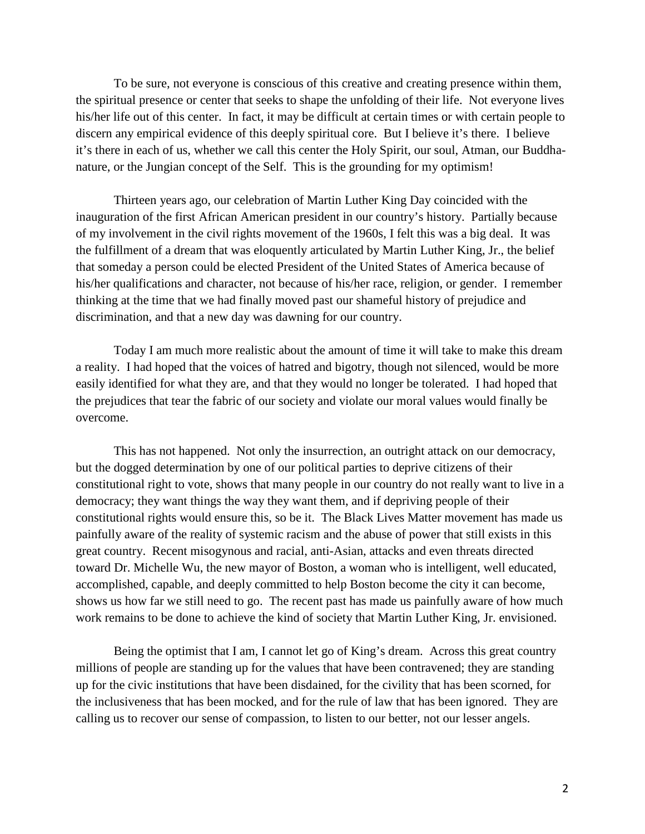To be sure, not everyone is conscious of this creative and creating presence within them, the spiritual presence or center that seeks to shape the unfolding of their life. Not everyone lives his/her life out of this center. In fact, it may be difficult at certain times or with certain people to discern any empirical evidence of this deeply spiritual core. But I believe it's there. I believe it's there in each of us, whether we call this center the Holy Spirit, our soul, Atman, our Buddhanature, or the Jungian concept of the Self. This is the grounding for my optimism!

Thirteen years ago, our celebration of Martin Luther King Day coincided with the inauguration of the first African American president in our country's history. Partially because of my involvement in the civil rights movement of the 1960s, I felt this was a big deal. It was the fulfillment of a dream that was eloquently articulated by Martin Luther King, Jr., the belief that someday a person could be elected President of the United States of America because of his/her qualifications and character, not because of his/her race, religion, or gender. I remember thinking at the time that we had finally moved past our shameful history of prejudice and discrimination, and that a new day was dawning for our country.

Today I am much more realistic about the amount of time it will take to make this dream a reality. I had hoped that the voices of hatred and bigotry, though not silenced, would be more easily identified for what they are, and that they would no longer be tolerated. I had hoped that the prejudices that tear the fabric of our society and violate our moral values would finally be overcome.

This has not happened. Not only the insurrection, an outright attack on our democracy, but the dogged determination by one of our political parties to deprive citizens of their constitutional right to vote, shows that many people in our country do not really want to live in a democracy; they want things the way they want them, and if depriving people of their constitutional rights would ensure this, so be it. The Black Lives Matter movement has made us painfully aware of the reality of systemic racism and the abuse of power that still exists in this great country. Recent misogynous and racial, anti-Asian, attacks and even threats directed toward Dr. Michelle Wu, the new mayor of Boston, a woman who is intelligent, well educated, accomplished, capable, and deeply committed to help Boston become the city it can become, shows us how far we still need to go. The recent past has made us painfully aware of how much work remains to be done to achieve the kind of society that Martin Luther King, Jr. envisioned.

Being the optimist that I am, I cannot let go of King's dream. Across this great country millions of people are standing up for the values that have been contravened; they are standing up for the civic institutions that have been disdained, for the civility that has been scorned, for the inclusiveness that has been mocked, and for the rule of law that has been ignored. They are calling us to recover our sense of compassion, to listen to our better, not our lesser angels.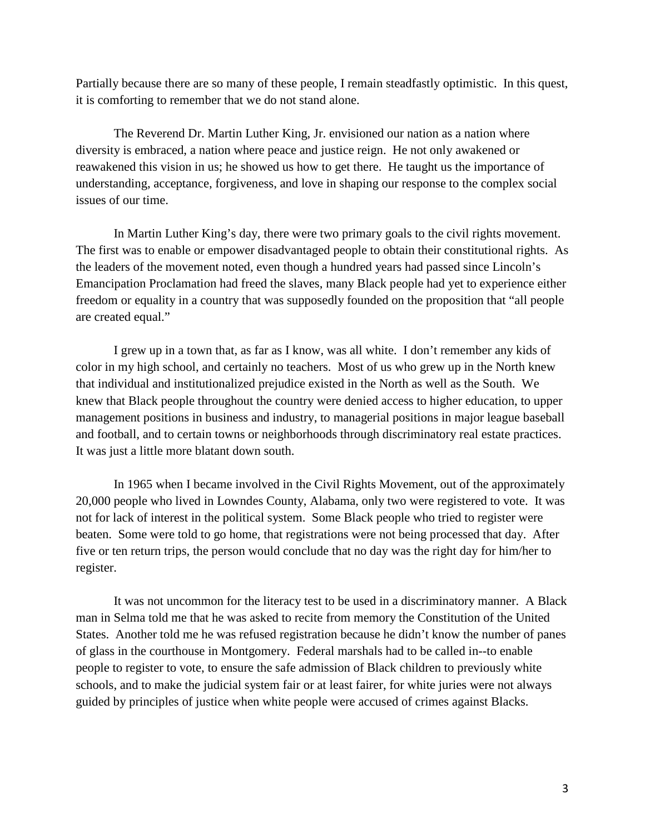Partially because there are so many of these people, I remain steadfastly optimistic. In this quest, it is comforting to remember that we do not stand alone.

The Reverend Dr. Martin Luther King, Jr. envisioned our nation as a nation where diversity is embraced, a nation where peace and justice reign. He not only awakened or reawakened this vision in us; he showed us how to get there. He taught us the importance of understanding, acceptance, forgiveness, and love in shaping our response to the complex social issues of our time.

In Martin Luther King's day, there were two primary goals to the civil rights movement. The first was to enable or empower disadvantaged people to obtain their constitutional rights. As the leaders of the movement noted, even though a hundred years had passed since Lincoln's Emancipation Proclamation had freed the slaves, many Black people had yet to experience either freedom or equality in a country that was supposedly founded on the proposition that "all people are created equal."

I grew up in a town that, as far as I know, was all white. I don't remember any kids of color in my high school, and certainly no teachers. Most of us who grew up in the North knew that individual and institutionalized prejudice existed in the North as well as the South. We knew that Black people throughout the country were denied access to higher education, to upper management positions in business and industry, to managerial positions in major league baseball and football, and to certain towns or neighborhoods through discriminatory real estate practices. It was just a little more blatant down south.

In 1965 when I became involved in the Civil Rights Movement, out of the approximately 20,000 people who lived in Lowndes County, Alabama, only two were registered to vote. It was not for lack of interest in the political system. Some Black people who tried to register were beaten. Some were told to go home, that registrations were not being processed that day. After five or ten return trips, the person would conclude that no day was the right day for him/her to register.

It was not uncommon for the literacy test to be used in a discriminatory manner. A Black man in Selma told me that he was asked to recite from memory the Constitution of the United States. Another told me he was refused registration because he didn't know the number of panes of glass in the courthouse in Montgomery. Federal marshals had to be called in--to enable people to register to vote, to ensure the safe admission of Black children to previously white schools, and to make the judicial system fair or at least fairer, for white juries were not always guided by principles of justice when white people were accused of crimes against Blacks.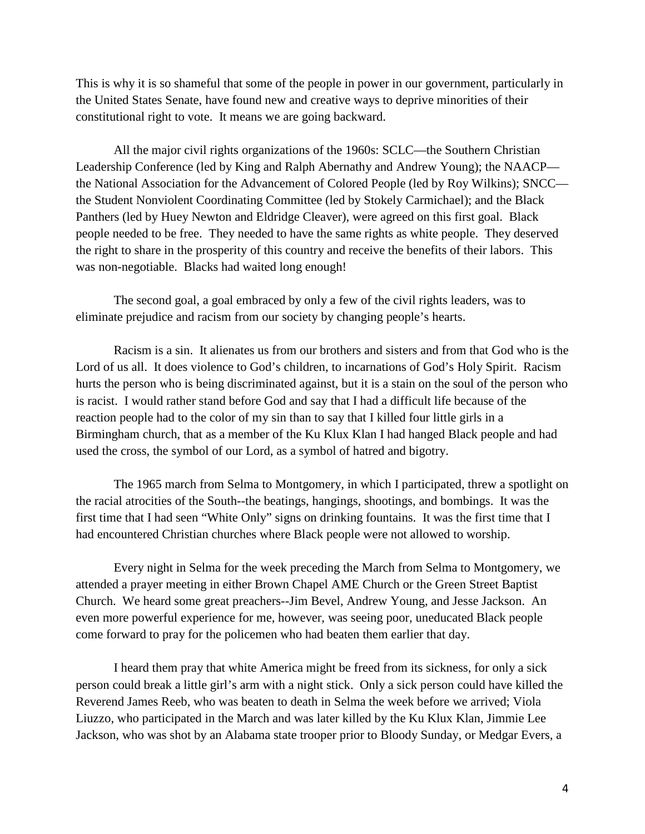This is why it is so shameful that some of the people in power in our government, particularly in the United States Senate, have found new and creative ways to deprive minorities of their constitutional right to vote. It means we are going backward.

All the major civil rights organizations of the 1960s: SCLC—the Southern Christian Leadership Conference (led by King and Ralph Abernathy and Andrew Young); the NAACP the National Association for the Advancement of Colored People (led by Roy Wilkins); SNCC the Student Nonviolent Coordinating Committee (led by Stokely Carmichael); and the Black Panthers (led by Huey Newton and Eldridge Cleaver), were agreed on this first goal. Black people needed to be free. They needed to have the same rights as white people. They deserved the right to share in the prosperity of this country and receive the benefits of their labors. This was non-negotiable. Blacks had waited long enough!

The second goal, a goal embraced by only a few of the civil rights leaders, was to eliminate prejudice and racism from our society by changing people's hearts.

Racism is a sin. It alienates us from our brothers and sisters and from that God who is the Lord of us all. It does violence to God's children, to incarnations of God's Holy Spirit. Racism hurts the person who is being discriminated against, but it is a stain on the soul of the person who is racist. I would rather stand before God and say that I had a difficult life because of the reaction people had to the color of my sin than to say that I killed four little girls in a Birmingham church, that as a member of the Ku Klux Klan I had hanged Black people and had used the cross, the symbol of our Lord, as a symbol of hatred and bigotry.

The 1965 march from Selma to Montgomery, in which I participated, threw a spotlight on the racial atrocities of the South--the beatings, hangings, shootings, and bombings. It was the first time that I had seen "White Only" signs on drinking fountains. It was the first time that I had encountered Christian churches where Black people were not allowed to worship.

Every night in Selma for the week preceding the March from Selma to Montgomery, we attended a prayer meeting in either Brown Chapel AME Church or the Green Street Baptist Church. We heard some great preachers--Jim Bevel, Andrew Young, and Jesse Jackson. An even more powerful experience for me, however, was seeing poor, uneducated Black people come forward to pray for the policemen who had beaten them earlier that day.

I heard them pray that white America might be freed from its sickness, for only a sick person could break a little girl's arm with a night stick. Only a sick person could have killed the Reverend James Reeb, who was beaten to death in Selma the week before we arrived; Viola Liuzzo, who participated in the March and was later killed by the Ku Klux Klan, Jimmie Lee Jackson, who was shot by an Alabama state trooper prior to Bloody Sunday, or Medgar Evers, a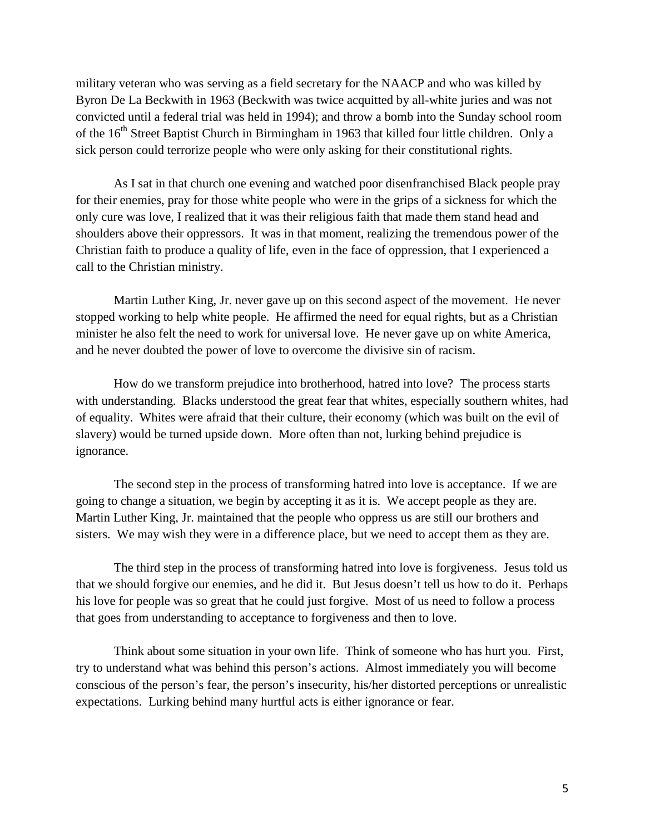military veteran who was serving as a field secretary for the NAACP and who was killed by Byron De La Beckwith in 1963 (Beckwith was twice acquitted by all-white juries and was not convicted until a federal trial was held in 1994); and throw a bomb into the Sunday school room of the 16<sup>th</sup> Street Baptist Church in Birmingham in 1963 that killed four little children. Only a sick person could terrorize people who were only asking for their constitutional rights.

As I sat in that church one evening and watched poor disenfranchised Black people pray for their enemies, pray for those white people who were in the grips of a sickness for which the only cure was love, I realized that it was their religious faith that made them stand head and shoulders above their oppressors. It was in that moment, realizing the tremendous power of the Christian faith to produce a quality of life, even in the face of oppression, that I experienced a call to the Christian ministry.

Martin Luther King, Jr. never gave up on this second aspect of the movement. He never stopped working to help white people. He affirmed the need for equal rights, but as a Christian minister he also felt the need to work for universal love. He never gave up on white America, and he never doubted the power of love to overcome the divisive sin of racism.

How do we transform prejudice into brotherhood, hatred into love? The process starts with understanding. Blacks understood the great fear that whites, especially southern whites, had of equality. Whites were afraid that their culture, their economy (which was built on the evil of slavery) would be turned upside down. More often than not, lurking behind prejudice is ignorance.

The second step in the process of transforming hatred into love is acceptance. If we are going to change a situation, we begin by accepting it as it is. We accept people as they are. Martin Luther King, Jr. maintained that the people who oppress us are still our brothers and sisters. We may wish they were in a difference place, but we need to accept them as they are.

The third step in the process of transforming hatred into love is forgiveness. Jesus told us that we should forgive our enemies, and he did it. But Jesus doesn't tell us how to do it. Perhaps his love for people was so great that he could just forgive. Most of us need to follow a process that goes from understanding to acceptance to forgiveness and then to love.

Think about some situation in your own life. Think of someone who has hurt you. First, try to understand what was behind this person's actions. Almost immediately you will become conscious of the person's fear, the person's insecurity, his/her distorted perceptions or unrealistic expectations. Lurking behind many hurtful acts is either ignorance or fear.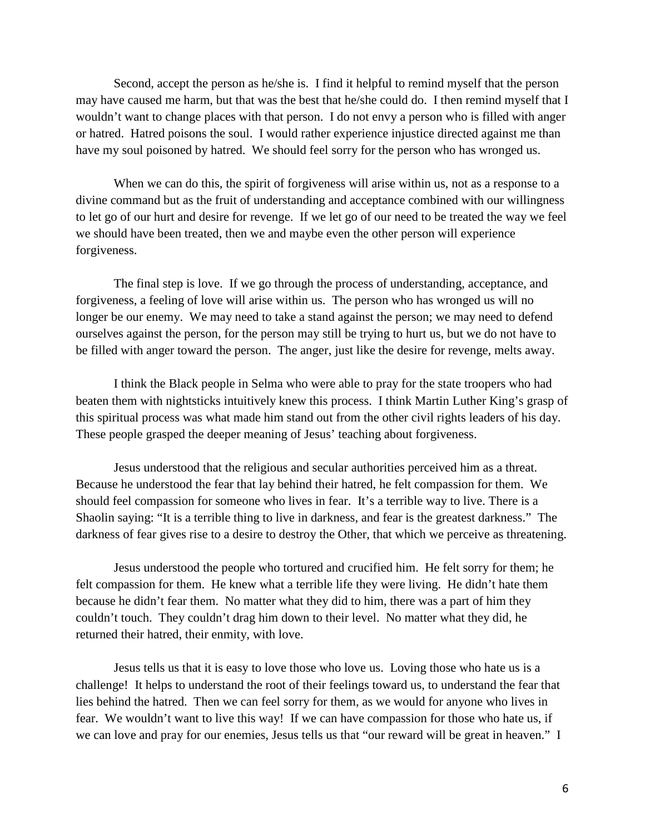Second, accept the person as he/she is. I find it helpful to remind myself that the person may have caused me harm, but that was the best that he/she could do. I then remind myself that I wouldn't want to change places with that person. I do not envy a person who is filled with anger or hatred. Hatred poisons the soul. I would rather experience injustice directed against me than have my soul poisoned by hatred. We should feel sorry for the person who has wronged us.

When we can do this, the spirit of forgiveness will arise within us, not as a response to a divine command but as the fruit of understanding and acceptance combined with our willingness to let go of our hurt and desire for revenge. If we let go of our need to be treated the way we feel we should have been treated, then we and maybe even the other person will experience forgiveness.

The final step is love. If we go through the process of understanding, acceptance, and forgiveness, a feeling of love will arise within us. The person who has wronged us will no longer be our enemy. We may need to take a stand against the person; we may need to defend ourselves against the person, for the person may still be trying to hurt us, but we do not have to be filled with anger toward the person. The anger, just like the desire for revenge, melts away.

I think the Black people in Selma who were able to pray for the state troopers who had beaten them with nightsticks intuitively knew this process. I think Martin Luther King's grasp of this spiritual process was what made him stand out from the other civil rights leaders of his day. These people grasped the deeper meaning of Jesus' teaching about forgiveness.

Jesus understood that the religious and secular authorities perceived him as a threat. Because he understood the fear that lay behind their hatred, he felt compassion for them. We should feel compassion for someone who lives in fear. It's a terrible way to live. There is a Shaolin saying: "It is a terrible thing to live in darkness, and fear is the greatest darkness." The darkness of fear gives rise to a desire to destroy the Other, that which we perceive as threatening.

Jesus understood the people who tortured and crucified him. He felt sorry for them; he felt compassion for them. He knew what a terrible life they were living. He didn't hate them because he didn't fear them. No matter what they did to him, there was a part of him they couldn't touch. They couldn't drag him down to their level. No matter what they did, he returned their hatred, their enmity, with love.

Jesus tells us that it is easy to love those who love us. Loving those who hate us is a challenge! It helps to understand the root of their feelings toward us, to understand the fear that lies behind the hatred. Then we can feel sorry for them, as we would for anyone who lives in fear. We wouldn't want to live this way! If we can have compassion for those who hate us, if we can love and pray for our enemies, Jesus tells us that "our reward will be great in heaven." I